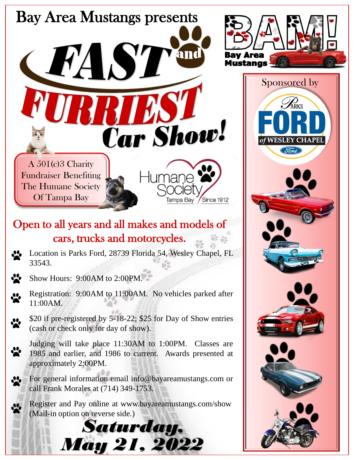

## Open to all years and all makes and models of cars, trucks and motorcycles.

- Location is Parks Ford, 28739 Florida 54, Wesley Chapel, FL 33543.
- Show Hours: 9:00AM to 2:00PM.
- Registration: 9:00AM to 11:00AM. No vehicles parked after 11:00AM.
	- \$20 if pre-registered by 5-18-22; \$25 for Day of Show entries (cash or check only for day of show).
	- Judging will take place 11:30AM to 1:00PM. Classes are 1985 and earlier, and 1986 to current. Awards presented at approximately 2:00PM.
	- For general information email info@bayareamustangs.com or call Frank Morales at (714) 349-1753.
	- Register and Pay online at www.bayareamustangs.com/show (Mail-in option on reverse side.)